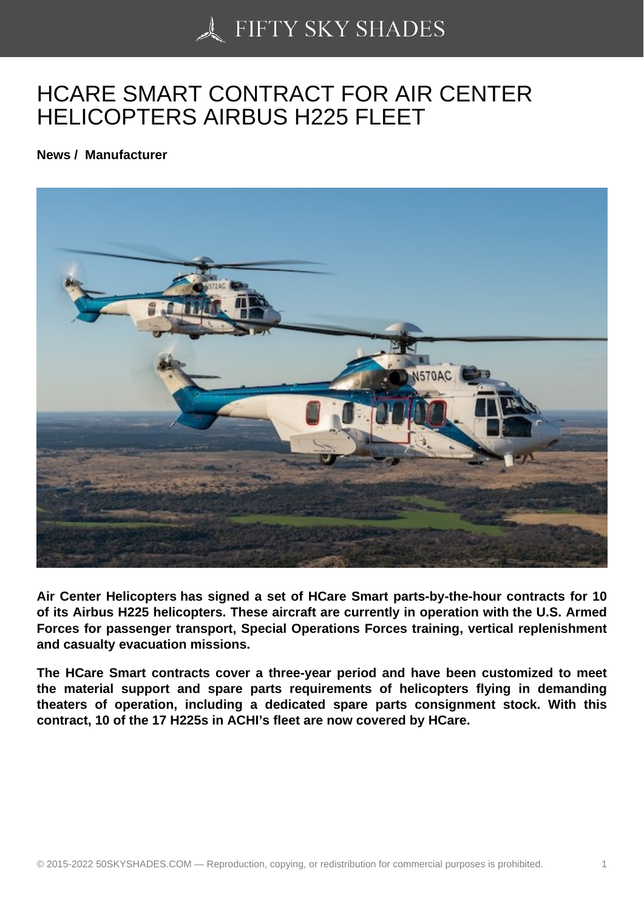## [HCARE SMART CONT](https://50skyshades.com)RACT FOR AIR CENTER HELICOPTERS AIRBUS H225 FLEET

News / Manufacturer

Air Center Helicopters has signed a set of HCare Smart parts-by-the-hour contracts for 10 of its Airbus H225 helicopters. These aircraft are currently in operation with the U.S. Armed Forces for passenger transport, Special Operations Forces training, vertical replenishment and casualty evacuation missions.

The HCare Smart contracts cover a three-year period and have been customized to meet the material support and spare parts requirements of helicopters flying in demanding theaters of operation, including a dedicated spare parts consignment stock. With this contract, 10 of the 17 H225s in ACHI's fleet are now covered by HCare.